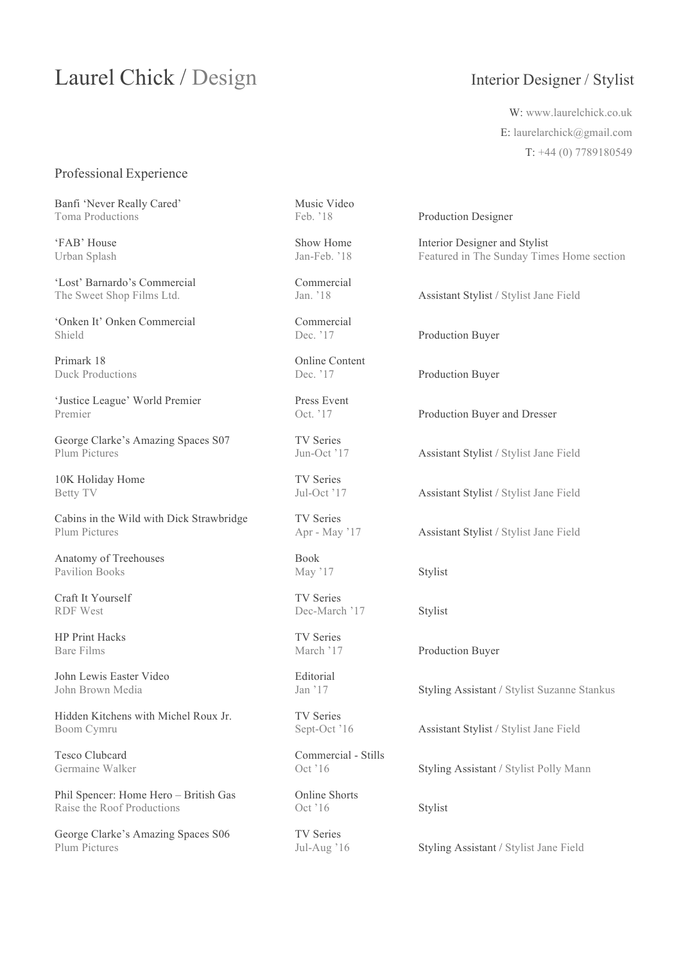## Laurel Chick / Design Interior Designer / Stylist

W: www.laurelchick.co.uk E: laurelarchick@gmail.com T: +44 (0) 7789180549

### Professional Experience

Banfi 'Never Really Cared' Music Video Toma Productions Feb. '18 Production Designer

'Lost' Barnardo's Commercial Commercial

'Onken It' Onken Commercial Commercial Shield Dec. '17 Production Buyer

Primark 18 Online Content<br>
Duck Productions<br>
Dec. '17

'Justice League' World Premier Press Event Premier Contract Contract Contract Production Buyer and Dresser

George Clarke's Amazing Spaces S07 TV Series Plum Pictures Jun-Oct '17 Assistant Stylist / Stylist Jane Field

10K Holiday Home TV Series

Cabins in the Wild with Dick Strawbridge TV Series<br>Plum Pictures Apr - May '17 Plum Pictures Apr - May '17 Assistant Stylist / Stylist Jane Field

Anatomy of Treehouses Book Pavilion Books May '17 Stylist

Craft It Yourself TV Series RDF West Dec-March '17 Stylist

HP Print Hacks TV Series

John Lewis Easter Video Editorial

Hidden Kitchens with Michel Roux Jr. TV Series Boom Cymru Sept-Oct '16 Assistant Stylist / Stylist Jane Field

Phil Spencer: Home Hero – British Gas Online Shorts Raise the Roof Productions Oct '16 Stylist

George Clarke's Amazing Spaces S06 TV Series Plum Pictures Jul-Aug '16 Styling Assistant / Stylist Jane Field

Tesco Clubcard Commercial - Stills<br>Germaine Walker Oct '16

'FAB' House Show Home Interior Designer and Stylist<br>
Urban Splash Ian-Feb. '18 Featured in The Sunday Tim Urban Splash Jan-Feb. '18 Featured in The Sunday Times Home section

The Sweet Shop Films Ltd. Jan. '18 Assistant Stylist / Stylist Jane Field

Duck Productions Dec. '17 Production Buyer

Betty TV Jul-Oct '17 Assistant Stylist / Stylist Jane Field

Bare Films March '17 Production Buyer

John Brown Media Jan '17 Styling Assistant / Stylist Suzanne Stankus

Germaine Walker **Oct** '16 Styling Assistant / Stylist Polly Mann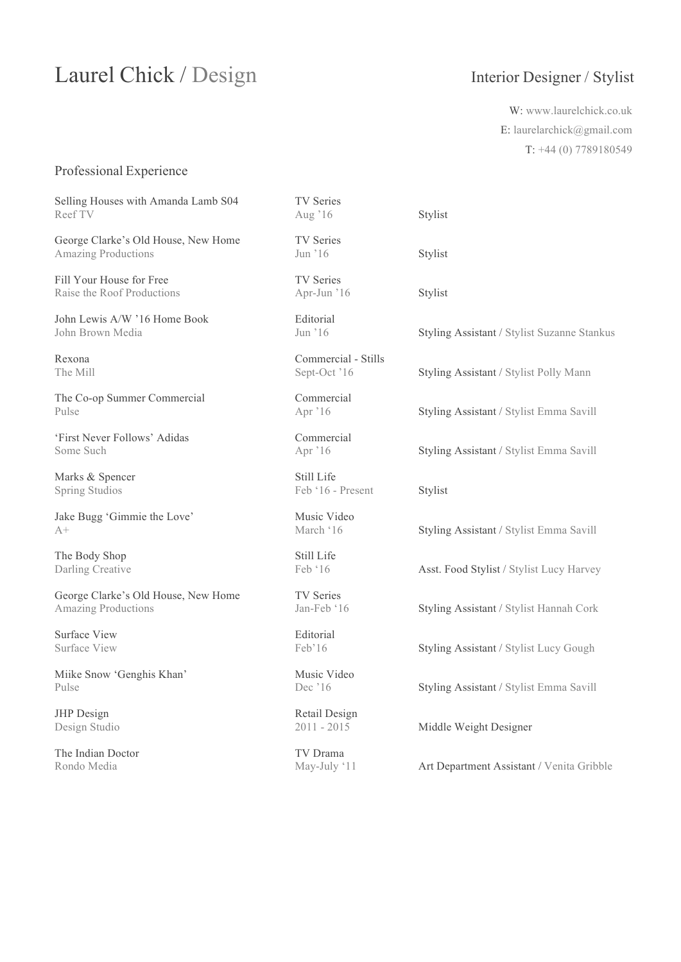## Laurel Chick / Design Interior Designer / Stylist

W: www.laurelchick.co.uk E: laurelarchick@gmail.com T: +44 (0) 7789180549

### Professional Experience

Selling Houses with Amanda Lamb S04 TV Series Reef TV Aug '16 Stylist

George Clarke's Old House, New Home TV Series Amazing Productions Jun '16 Stylist

Fill Your House for Free TV Series Raise the Roof Productions Apr-Jun '16 Stylist

John Lewis A/W '16 Home Book Editorial

The Co-op Summer Commercial Commercial

'First Never Follows' Adidas Commercial

Marks & Spencer Still Life

Jake Bugg 'Gimmie the Love' Music Video

The Body Shop Still Life

George Clarke's Old House, New Home TV Series Amazing Productions **Jan-Feb '16** Styling Assistant / Stylist Hannah Cork

Surface View Editorial

Miike Snow 'Genghis Khan' Music Video

JHP Design Retail Design

The Indian Doctor TV Drama

Rexona Commercial - Stills

Spring Studios Feb '16 - Present Stylist

John Brown Media Jun '16 Styling Assistant / Stylist Suzanne Stankus

The Mill Sept-Oct '16 Styling Assistant / Stylist Polly Mann

Pulse Apr '16 Styling Assistant / Stylist Emma Savill

Some Such Apr '16 Styling Assistant / Stylist Emma Savill

A+ March '16 Styling Assistant / Stylist Emma Savill

Darling Creative Feb '16 Asst. Food Stylist / Stylist Lucy Harvey

Surface View Feb'16 Styling Assistant / Stylist Lucy Gough

Pulse Dec '16 Styling Assistant / Stylist Emma Savill

Design Studio 2011 - 2015 Middle Weight Designer

Rondo Media May-July '11 Art Department Assistant / Venita Gribble